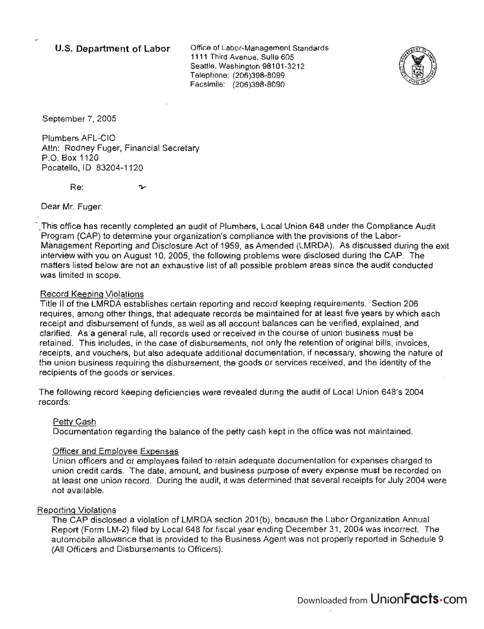# **U.S. Department of Labor**

Office of Labor-Management Standards 1111 Third Avenue, Suite 605 Seattle, Washington 98101-3212 Telephone: (206)398-8099 Facsimile: (206)398-8090



September 7, 2005

Plumbers AFL-CIO Attn: Rodney Fuger, Financial Secretary P.O. Box 1120 Pocatello, ID 83204-1120

Re:

Dear Mr. Fuger:

\_ This office has recently completed an audit of Plumbers, Local Union 648 under the Compliance Audit Program (CAP) to determine your organization's compliance with the provisions of the Labor-Management Reporting and Disclosure Act of 1959, as Amended (LMRDA). As discussed during the exit interview with you on August 10, 2005, the following problems were disclosed during the CAP. The matters listed below are not an exhaustive list of all possible problem areas since the audit conducted was limited in scope.

## Record Keeping Violations

Title II of the LMRDA establishes certain reporting and record keeping requirements. Section 206 requires, among other things, that adequate records be maintained for at least five years by which each receipt and disbursement of funds, as well as all account balances can be verified, explained, and clarified. As a general rule, all records used or received in the course of union business must be retained. This includes, in the case of disbursements, not only the retention of original bills, invoices, receipts, and vouchers, but also adequate additional documentation, if necessary, showing the nature of the union business requiring the disbursement, the goods or services received, and the identity of the recipients of the goods or services.

The following record keeping deficiencies were revealed during the audit of Local Union 648's 2004 . records: .

## Petty Cash

Documentation regarding the balance of the petty cash kept in the office was not maintained.

## Officer and Employee Expenses

Union officers and or employees failed to retain adequate documentation for expenses charged to union credit cards. The date, amount, and business purpose of every expense must be recorded on at least one union record. During the audit, it was determined that several receipts for July 2004 were not available.

## Reporting Violations

The CAP disclosed a violation of LMRDA section 201 (b), because the Labor Organization Annual Report (Form LM-2) filed by Local 648 for fiscal year ending December 31,2004 was incorrect. The automobile allowance that is provided to the Business Agent was not properly reported in Schedule 9 (All Officers and Disbursements to Officers).